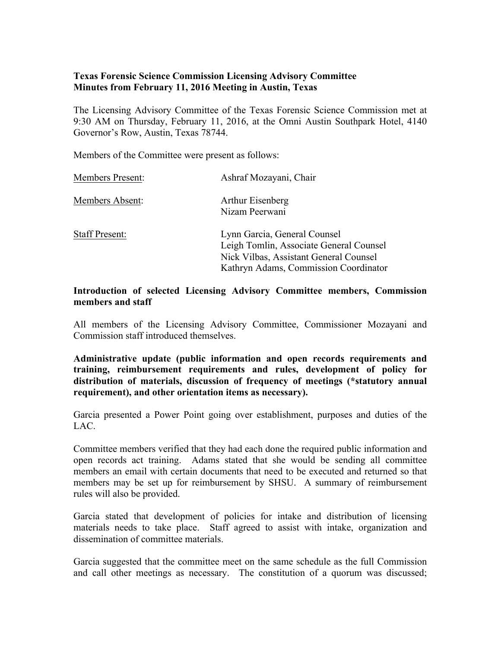# **Texas Forensic Science Commission Licensing Advisory Committee Minutes from February 11, 2016 Meeting in Austin, Texas**

The Licensing Advisory Committee of the Texas Forensic Science Commission met at 9:30 AM on Thursday, February 11, 2016, at the Omni Austin Southpark Hotel, 4140 Governor's Row, Austin, Texas 78744.

Members of the Committee were present as follows:

| <b>Members Present:</b> | Ashraf Mozayani, Chair                                                                                                                                     |
|-------------------------|------------------------------------------------------------------------------------------------------------------------------------------------------------|
| Members Absent:         | Arthur Eisenberg<br>Nizam Peerwani                                                                                                                         |
| <b>Staff Present:</b>   | Lynn Garcia, General Counsel<br>Leigh Tomlin, Associate General Counsel<br>Nick Vilbas, Assistant General Counsel<br>Kathryn Adams, Commission Coordinator |

#### **Introduction of selected Licensing Advisory Committee members, Commission members and staff**

All members of the Licensing Advisory Committee, Commissioner Mozayani and Commission staff introduced themselves.

**Administrative update (public information and open records requirements and training, reimbursement requirements and rules, development of policy for distribution of materials, discussion of frequency of meetings (\*statutory annual requirement), and other orientation items as necessary).** 

Garcia presented a Power Point going over establishment, purposes and duties of the LAC.

Committee members verified that they had each done the required public information and open records act training. Adams stated that she would be sending all committee members an email with certain documents that need to be executed and returned so that members may be set up for reimbursement by SHSU. A summary of reimbursement rules will also be provided.

Garcia stated that development of policies for intake and distribution of licensing materials needs to take place. Staff agreed to assist with intake, organization and dissemination of committee materials.

Garcia suggested that the committee meet on the same schedule as the full Commission and call other meetings as necessary. The constitution of a quorum was discussed;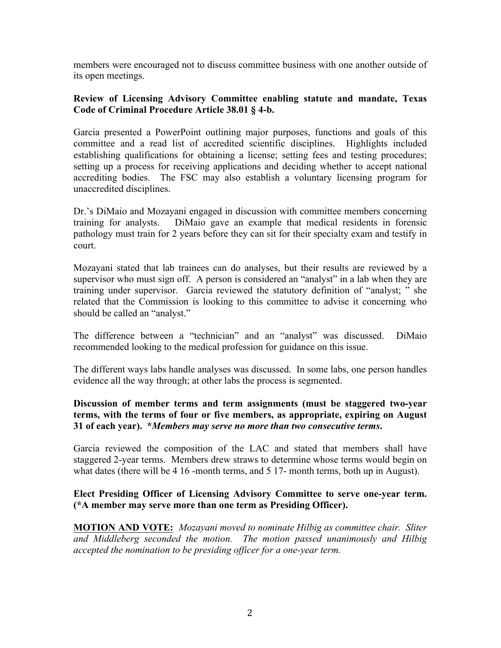members were encouraged not to discuss committee business with one another outside of its open meetings.

### **Review of Licensing Advisory Committee enabling statute and mandate, Texas Code of Criminal Procedure Article 38.01 § 4-b.**

Garcia presented a PowerPoint outlining major purposes, functions and goals of this committee and a read list of accredited scientific disciplines. Highlights included establishing qualifications for obtaining a license; setting fees and testing procedures; setting up a process for receiving applications and deciding whether to accept national accrediting bodies. The FSC may also establish a voluntary licensing program for unaccredited disciplines.

Dr.'s DiMaio and Mozayani engaged in discussion with committee members concerning training for analysts. DiMaio gave an example that medical residents in forensic pathology must train for 2 years before they can sit for their specialty exam and testify in court.

Mozayani stated that lab trainees can do analyses, but their results are reviewed by a supervisor who must sign off. A person is considered an "analyst" in a lab when they are training under supervisor. Garcia reviewed the statutory definition of "analyst; " she related that the Commission is looking to this committee to advise it concerning who should be called an "analyst."

The difference between a "technician" and an "analyst" was discussed. DiMaio recommended looking to the medical profession for guidance on this issue.

The different ways labs handle analyses was discussed. In some labs, one person handles evidence all the way through; at other labs the process is segmented.

### **Discussion of member terms and term assignments (must be staggered two-year terms, with the terms of four or five members, as appropriate, expiring on August 31 of each year). \****Members may serve no more than two consecutive terms***.**

Garcia reviewed the composition of the LAC and stated that members shall have staggered 2-year terms. Members drew straws to determine whose terms would begin on what dates (there will be 4 16 -month terms, and 5 17- month terms, both up in August).

### **Elect Presiding Officer of Licensing Advisory Committee to serve one-year term. (\*A member may serve more than one term as Presiding Officer).**

**MOTION AND VOTE:** *Mozayani moved to nominate Hilbig as committee chair. Sliter and Middleberg seconded the motion. The motion passed unanimously and Hilbig accepted the nomination to be presiding officer for a one-year term.*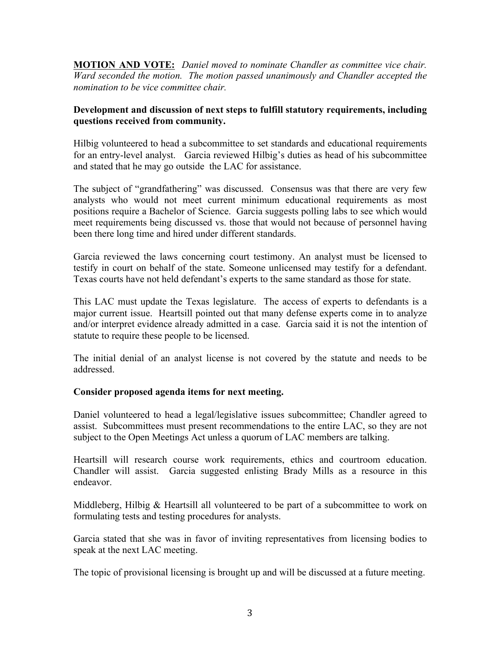**MOTION AND VOTE:** *Daniel moved to nominate Chandler as committee vice chair. Ward seconded the motion. The motion passed unanimously and Chandler accepted the nomination to be vice committee chair.*

## **Development and discussion of next steps to fulfill statutory requirements, including questions received from community.**

Hilbig volunteered to head a subcommittee to set standards and educational requirements for an entry-level analyst. Garcia reviewed Hilbig's duties as head of his subcommittee and stated that he may go outside the LAC for assistance.

The subject of "grandfathering" was discussed. Consensus was that there are very few analysts who would not meet current minimum educational requirements as most positions require a Bachelor of Science. Garcia suggests polling labs to see which would meet requirements being discussed vs. those that would not because of personnel having been there long time and hired under different standards.

Garcia reviewed the laws concerning court testimony. An analyst must be licensed to testify in court on behalf of the state. Someone unlicensed may testify for a defendant. Texas courts have not held defendant's experts to the same standard as those for state.

This LAC must update the Texas legislature. The access of experts to defendants is a major current issue. Heartsill pointed out that many defense experts come in to analyze and/or interpret evidence already admitted in a case. Garcia said it is not the intention of statute to require these people to be licensed.

The initial denial of an analyst license is not covered by the statute and needs to be addressed.

# **Consider proposed agenda items for next meeting.**

Daniel volunteered to head a legal/legislative issues subcommittee; Chandler agreed to assist. Subcommittees must present recommendations to the entire LAC, so they are not subject to the Open Meetings Act unless a quorum of LAC members are talking.

Heartsill will research course work requirements, ethics and courtroom education. Chandler will assist. Garcia suggested enlisting Brady Mills as a resource in this endeavor.

Middleberg, Hilbig & Heartsill all volunteered to be part of a subcommittee to work on formulating tests and testing procedures for analysts.

Garcia stated that she was in favor of inviting representatives from licensing bodies to speak at the next LAC meeting.

The topic of provisional licensing is brought up and will be discussed at a future meeting.